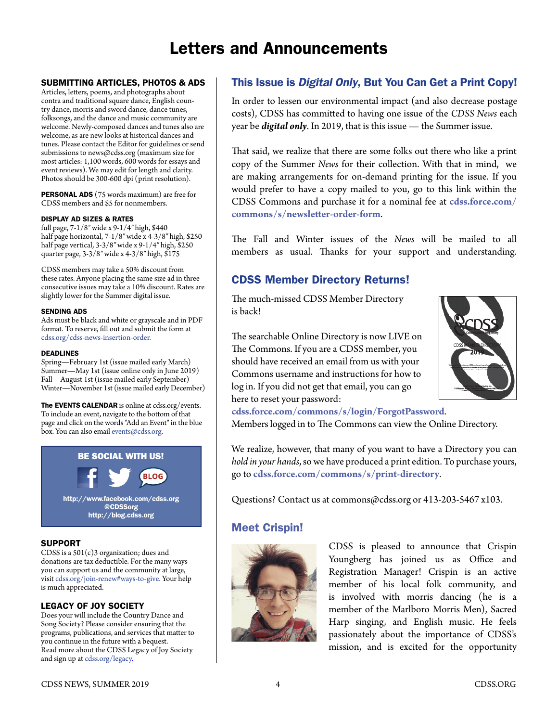# Letters and Announcements

#### SUBMITTING ARTICLES, PHOTOS & ADS

Articles, letters, poems, and photographs about contra and traditional square dance, English country dance, morris and sword dance, dance tunes, folksongs, and the dance and music community are welcome. Newly-composed dances and tunes also are welcome, as are new looks at historical dances and tunes. Please contact the Editor for guidelines or send submissions to [news@cdss.org](mailto:news@cdss.org) (maximum size for most articles: 1,100 words, 600 words for essays and event reviews). We may edit for length and clarity. Photos should be 300-600 dpi (print resolution).

PERSONAL ADS (75 words maximum) are free for CDSS members and \$5 for nonmembers.

#### DISPLAY AD SIZES & RATES

full page, 7-1/8″ wide x 9-1/4″ high, \$440 half page horizontal, 7-1/8″ wide x 4-3/8″ high, \$250 half page vertical, 3-3/8″ wide x 9-1/4″ high, \$250 quarter page, 3-3/8″ wide x 4-3/8″ high, \$175

CDSS members may take a 50% discount from these rates. Anyone placing the same size ad in three consecutive issues may take a 10% discount. Rates are slightly lower for the Summer digital issue.

#### SENDING ADS

Ads must be black and white or grayscale and in PDF format. To reserve, fill out and submit the form at [cdss.org/cdss-news-insertion-order.](https://www.cdss.org/cdss-news-insertion-order)

#### DEADLINES

Spring—February 1st (issue mailed early March) Summer—May 1st (issue online only in June 2019) Fall—August 1st (issue mailed early September) Winter—November 1st (issue mailed early December)

The EVENTS CALENDAR is online at [cdss.org/events.](http://cdss.org/events) To include an event, navigate to the bottom of that page and click on the words "Add an Event" in the blue box. You can also email [events@cdss.org](mailto:events@cdss.org).



#### SUPPORT

CDSS is a 501(c)3 organization; dues and donations are tax deductible. For the many ways you can support us and the community at large, visit [cdss.org/join-renew#ways-to-give](amazon.com). Your help is much appreciated.

#### LEGACY OF JOY SOCIETY

Does your will include the Country Dance and Song Society? Please consider ensuring that the programs, publications, and services that matter to you continue in the future with a bequest. Read more about the CDSS Legacy of Joy Society and sign up at [cdss.org/legacy.](amazon.com)

### This Issue is *Digital Only*, But You Can Get a Print Copy!

In order to lessen our environmental impact (and also decrease postage costs), CDSS has committed to having one issue of the *CDSS News* each year be *digital only*. In 2019, that is this issue — the Summer issue.

That said, we realize that there are some folks out there who like a print copy of the Summer *News* for their collection. With that in mind, we are making arrangements for on-demand printing for the issue. If you would prefer to have a copy mailed to you, go to this link within the CDSS Commons and purchase it for a nominal fee at **[cdss.force.com/](http://cdss.force.com/commons/s/newsletter-order-form) [commons/s/newsletter-order-form](http://cdss.force.com/commons/s/newsletter-order-form)**.

The Fall and Winter issues of the *News* will be mailed to all members as usual. Thanks for your support and understanding.

# CDSS Member Directory Returns!

The much-missed CDSS Member Directory is back!



The searchable Online Directory is now LIVE on The Commons. If you are a CDSS member, you should have received an email from us with your Commons username and instructions for how to log in. If you did not get that email, you can go here to reset your password:

**[cdss.force.com/commons/s/login/ForgotPassword](http://cdss.force.com/commons/s/login/ForgotPassword)**.

Members logged in to The Commons can view the Online Directory.

We realize, however, that many of you want to have a Directory you can *hold in your hands*, so we have produced a print edition. To purchase yours, go to **[cdss.force.com/commons/s/print-directory](http://cdss.force.com/commons/s/print-directory)**.

Questions? Contact us at [commons@cdss.org](mailto:commons@cdss.org) or 413-203-5467 x103.

# Meet Crispin!



CDSS is pleased to announce that Crispin Youngberg has joined us as Office and Registration Manager! Crispin is an active member of his local folk community, and is involved with morris dancing (he is a member of the Marlboro Morris Men), Sacred Harp singing, and English music. He feels passionately about the importance of CDSS's mission, and is excited for the opportunity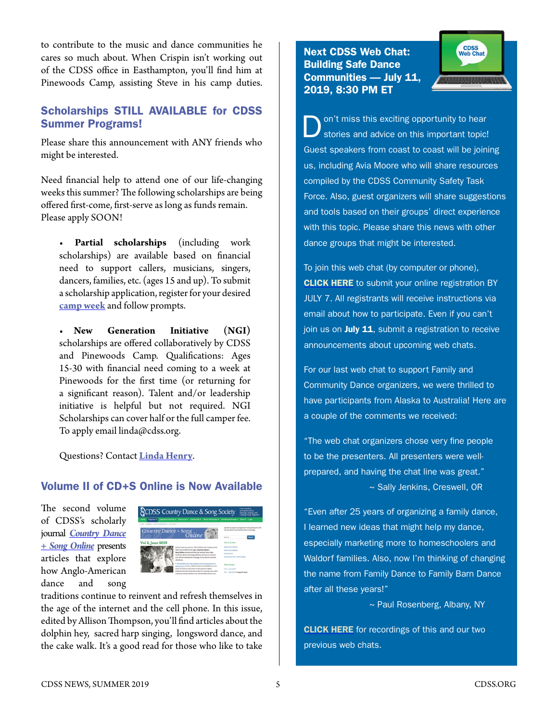to contribute to the music and dance communities he cares so much about. When Crispin isn't working out of the CDSS office in Easthampton, you'll find him at Pinewoods Camp, assisting Steve in his camp duties.

## Scholarships STILL AVAILABLE for CDSS Summer Programs!

Please share this announcement with ANY friends who might be interested.

Need financial help to attend one of our life-changing weeks this summer? The following scholarships are being offered first-come, first-serve as long as funds remain. Please apply SOON!

• **Partial scholarships** (including work scholarships) are available based on financial need to support callers, musicians, singers, dancers, families, etc. (ages 15 and up). To submit a scholarship application, register for your desired **[camp week](https://www.cdss.org/camp)** and follow prompts.

• **New Generation Initiative (NGI)** scholarships are offered collaboratively by CDSS and Pinewoods Camp. Qualifications: Ages 15-30 with financial need coming to a week at Pinewoods for the first time (or returning for a significant reason). Talent and/or leadership initiative is helpful but not required. NGI Scholarships can cover half or the full camper fee. To apply email [linda@cdss.org](mailto:linda@cdss.org).

Questions? Contact **[Linda Hen](mailto:linda%40cdss.org%0D?subject=)ry**.

#### Volume II of CD+S Online is Now Available

The second volume of CDSS's scholarly journal *[Country Dance](https://www.cdss.org/programs/cdss-news-publications/cds-online) [+ Song Online](https://www.cdss.org/programs/cdss-news-publications/cds-online)* presents articles that explore how Anglo-American dance and song



traditions continue to reinvent and refresh themselves in the age of the internet and the cell phone. In this issue, edited by Allison Thompson, you'll find articles about the dolphin hey, sacred harp singing, longsword dance, and the cake walk. It's a good read for those who like to take

Next CDSS Web Chat: Building Safe Dance Communities — July 11, 2019, 8:30 PM ET



on't miss this exciting opportunity to hear stories and advice on this important topic! Guest speakers from coast to coast will be joining us, including Avia Moore who will share resources compiled by the CDSS Community Safety Task Force. Also, guest organizers will share suggestions and tools based on their groups' direct experience with this topic. Please share this news with other dance groups that might be interested.

To join this web chat (by computer or phone), **[CLICK HERE](mailto:https://docs.google.com/forms/d/e/1FAIpQLSdYc34kuW4-rXeqqrfT3M5AueC0dUx0igufQhEtTS3vo5Uc1g/viewform?subject=)** to submit your online registration BY JULY 7. All registrants will receive instructions via email about how to participate. Even if you can't join us on July 11, submit a registration to receive announcements about upcoming web chats.

For our last web chat to support Family and Community Dance organizers, we were thrilled to have participants from Alaska to Australia! Here are a couple of the comments we received:

"The web chat organizers chose very fine people to be the presenters. All presenters were wellprepared, and having the chat line was great." ~ Sally Jenkins, Creswell, OR

"Even after 25 years of organizing a family dance, I learned new ideas that might help my dance, especially marketing more to homeschoolers and Waldorf families. Also, now I'm thinking of changing the name from Family Dance to Family Barn Dance after all these years!"

~ Paul Rosenberg, Albany, NY

**[CLICK HERE](mailto:https://www.cdss.org/resources/how-to/organizers%23cdss-web-chats?subject=)** for recordings of this and our two previous web chats.